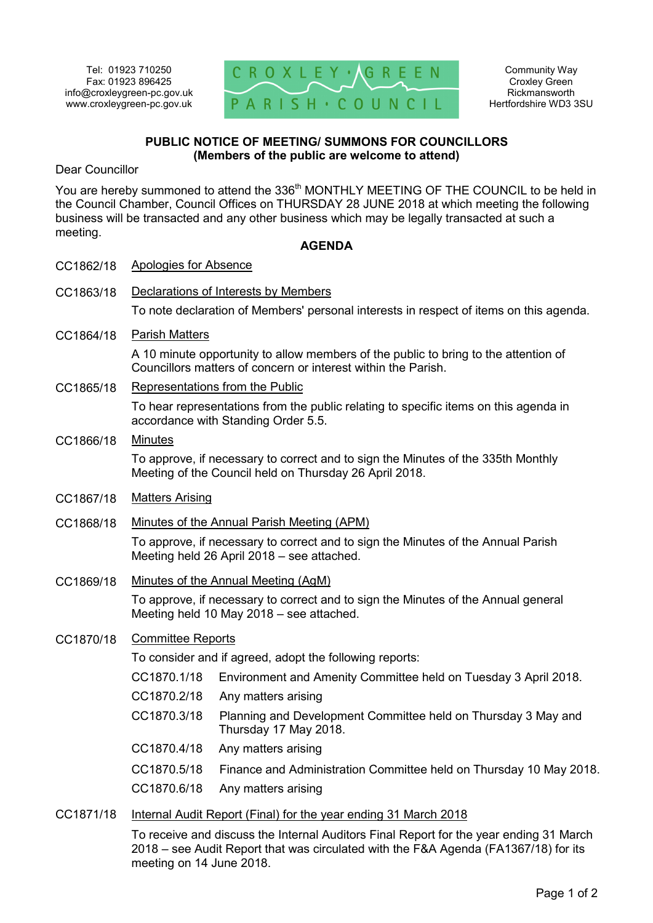

# **PUBLIC NOTICE OF MEETING/ SUMMONS FOR COUNCILLORS (Members of the public are welcome to attend)**

Dear Councillor

You are hereby summoned to attend the 336<sup>th</sup> MONTHLY MEETING OF THE COUNCIL to be held in the Council Chamber, Council Offices on THURSDAY 28 JUNE 2018 at which meeting the following business will be transacted and any other business which may be legally transacted at such a meeting.

### **AGENDA**

| CC1862/18 | <b>Apologies for Absence</b>                                                                                                                         |                                                                                        |
|-----------|------------------------------------------------------------------------------------------------------------------------------------------------------|----------------------------------------------------------------------------------------|
| CC1863/18 | Declarations of Interests by Members                                                                                                                 |                                                                                        |
|           | To note declaration of Members' personal interests in respect of items on this agenda.                                                               |                                                                                        |
| CC1864/18 | <b>Parish Matters</b>                                                                                                                                |                                                                                        |
|           | A 10 minute opportunity to allow members of the public to bring to the attention of<br>Councillors matters of concern or interest within the Parish. |                                                                                        |
| CC1865/18 | Representations from the Public                                                                                                                      |                                                                                        |
|           | To hear representations from the public relating to specific items on this agenda in<br>accordance with Standing Order 5.5.                          |                                                                                        |
| CC1866/18 | <b>Minutes</b>                                                                                                                                       |                                                                                        |
|           | To approve, if necessary to correct and to sign the Minutes of the 335th Monthly<br>Meeting of the Council held on Thursday 26 April 2018.           |                                                                                        |
| CC1867/18 | <b>Matters Arising</b>                                                                                                                               |                                                                                        |
| CC1868/18 | Minutes of the Annual Parish Meeting (APM)                                                                                                           |                                                                                        |
|           | To approve, if necessary to correct and to sign the Minutes of the Annual Parish<br>Meeting held 26 April 2018 - see attached.                       |                                                                                        |
| CC1869/18 | Minutes of the Annual Meeting (AgM)                                                                                                                  |                                                                                        |
|           | To approve, if necessary to correct and to sign the Minutes of the Annual general<br>Meeting held 10 May 2018 - see attached.                        |                                                                                        |
| CC1870/18 | <b>Committee Reports</b>                                                                                                                             |                                                                                        |
|           | To consider and if agreed, adopt the following reports:                                                                                              |                                                                                        |
|           | CC1870.1/18                                                                                                                                          | Environment and Amenity Committee held on Tuesday 3 April 2018.                        |
|           | CC1870.2/18                                                                                                                                          | Any matters arising                                                                    |
|           | CC1870.3/18                                                                                                                                          | Planning and Development Committee held on Thursday 3 May and<br>Thursday 17 May 2018. |
|           | CC1870.4/18                                                                                                                                          | Any matters arising                                                                    |
|           | CC1870.5/18                                                                                                                                          | Finance and Administration Committee held on Thursday 10 May 2018.                     |
|           | CC1870.6/18                                                                                                                                          | Any matters arising                                                                    |
| CC1871/18 | Internal Audit Report (Final) for the year ending 31 March 2018                                                                                      |                                                                                        |

To receive and discuss the Internal Auditors Final Report for the year ending 31 March 2018 – see Audit Report that was circulated with the F&A Agenda (FA1367/18) for its meeting on 14 June 2018.